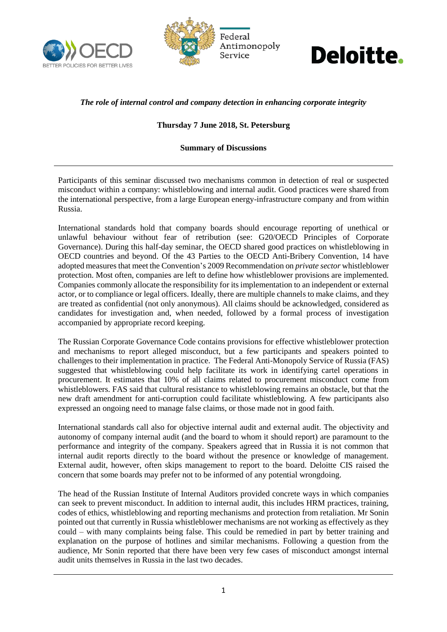





## *The role of internal control and company detection in enhancing corporate integrity*

## **Thursday 7 June 2018, St. Petersburg**

## **Summary of Discussions**

Participants of this seminar discussed two mechanisms common in detection of real or suspected misconduct within a company: whistleblowing and internal audit. Good practices were shared from the international perspective, from a large European energy-infrastructure company and from within Russia.

International standards hold that company boards should encourage reporting of unethical or unlawful behaviour without fear of retribution (see: G20/OECD Principles of Corporate Governance). During this half-day seminar, the OECD shared good practices on whistleblowing in OECD countries and beyond. Of the 43 Parties to the OECD Anti-Bribery Convention, 14 have adopted measures that meet the Convention's 2009 Recommendation on *private sector* whistleblower protection. Most often, companies are left to define how whistleblower provisions are implemented. Companies commonly allocate the responsibility for its implementation to an independent or external actor, or to compliance or legal officers. Ideally, there are multiple channels to make claims, and they are treated as confidential (not only anonymous). All claims should be acknowledged, considered as candidates for investigation and, when needed, followed by a formal process of investigation accompanied by appropriate record keeping.

The Russian Corporate Governance Code contains provisions for effective whistleblower protection and mechanisms to report alleged misconduct, but a few participants and speakers pointed to challenges to their implementation in practice. The Federal Anti-Monopoly Service of Russia (FAS) suggested that whistleblowing could help facilitate its work in identifying cartel operations in procurement. It estimates that 10% of all claims related to procurement misconduct come from whistleblowers. FAS said that cultural resistance to whistleblowing remains an obstacle, but that the new draft amendment for anti-corruption could facilitate whistleblowing. A few participants also expressed an ongoing need to manage false claims, or those made not in good faith.

International standards call also for objective internal audit and external audit. The objectivity and autonomy of company internal audit (and the board to whom it should report) are paramount to the performance and integrity of the company. Speakers agreed that in Russia it is not common that internal audit reports directly to the board without the presence or knowledge of management. External audit, however, often skips management to report to the board. Deloitte CIS raised the concern that some boards may prefer not to be informed of any potential wrongdoing.

The head of the Russian Institute of Internal Auditors provided concrete ways in which companies can seek to prevent misconduct. In addition to internal audit, this includes HRM practices, training, codes of ethics, whistleblowing and reporting mechanisms and protection from retaliation. Mr Sonin pointed out that currently in Russia whistleblower mechanisms are not working as effectively as they could – with many complaints being false. This could be remedied in part by better training and explanation on the purpose of hotlines and similar mechanisms. Following a question from the audience, Mr Sonin reported that there have been very few cases of misconduct amongst internal audit units themselves in Russia in the last two decades.